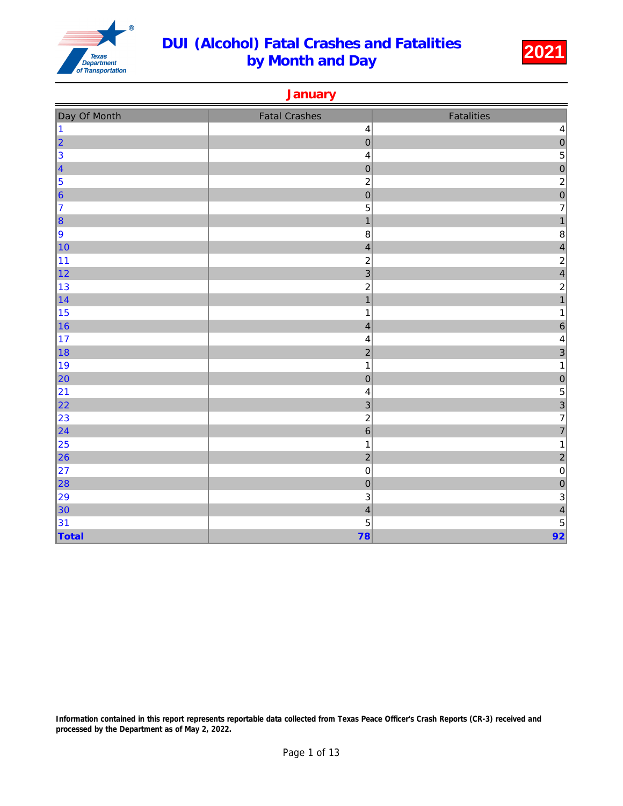

**January** 

| Day Of Month                                   | <b>Fatal Crashes</b>      | Fatalities              |
|------------------------------------------------|---------------------------|-------------------------|
| $\vert$ 1                                      | $\overline{\mathbf{4}}$   | $\overline{\mathbf{r}}$ |
|                                                | $\overline{0}$            | $\overline{0}$          |
| $\begin{array}{c c}\n2 \\ 3 \\ 4\n\end{array}$ | $\overline{\mathbf{4}}$   | $\overline{5}$          |
|                                                | $\theta$                  | $\overline{0}$          |
| $\vert$ 5                                      | $\overline{\mathbf{c}}$   | $\overline{\mathbf{c}}$ |
| $\vert$ 6                                      | $\overline{0}$            | $\overline{0}$          |
| 17                                             | 5                         | $\overline{7}$          |
| $\vert$ 8                                      | $\mathbf{1}$              | $\mathbf{1}$            |
| 9                                              | 8                         | $\,8\,$                 |
| $\vert$ 10                                     | $\overline{\mathcal{L}}$  | $\overline{\mathbf{r}}$ |
| 11                                             | $\overline{c}$            | $\frac{2}{4}$           |
| $\vert$ 12                                     | $\overline{3}$            |                         |
| 13                                             | $\overline{c}$            | $\overline{\mathbf{c}}$ |
| $\vert$ 14                                     | $\overline{1}$            | $\overline{1}$          |
| 15                                             | $\mathbf 1$               | 1                       |
| $\vert$ 16                                     | $\overline{\mathbf{4}}$   | $\overline{6}$          |
| 17                                             | 4                         | 4                       |
| ∥18                                            | $\overline{c}$            | 3                       |
| ∥19                                            | $\mathbf{1}$              | 1                       |
| $\vert$ 20                                     | $\boldsymbol{0}$          | $\theta$                |
| 21                                             | $\overline{\mathbf{4}}$   | 5                       |
| $\vert$ 22                                     | $\ensuremath{\mathsf{3}}$ | $\frac{3}{7}$           |
| 23                                             | $\boldsymbol{2}$          |                         |
| $\vert$ 24                                     | $\overline{6}$            | $\overline{7}$          |
| $\vert$ 25                                     | $\mathbf{1}$              | $\mathbf 1$             |
| $\vert$ 26                                     | $\overline{a}$            | $\overline{a}$          |
| 27                                             | $\pmb{0}$                 | $\pmb{0}$               |
| 28                                             | $\overline{0}$            | $\overline{0}$          |
| 29                                             | $\ensuremath{\mathsf{3}}$ | $\mathbf{3}$            |
| $\vert$ 30                                     | $\overline{\mathcal{L}}$  | $\overline{4}$          |
| 31                                             | 5                         | $\overline{5}$          |
| $\sqrt{\mathsf{T}^{total}}$                    | 78                        | 92                      |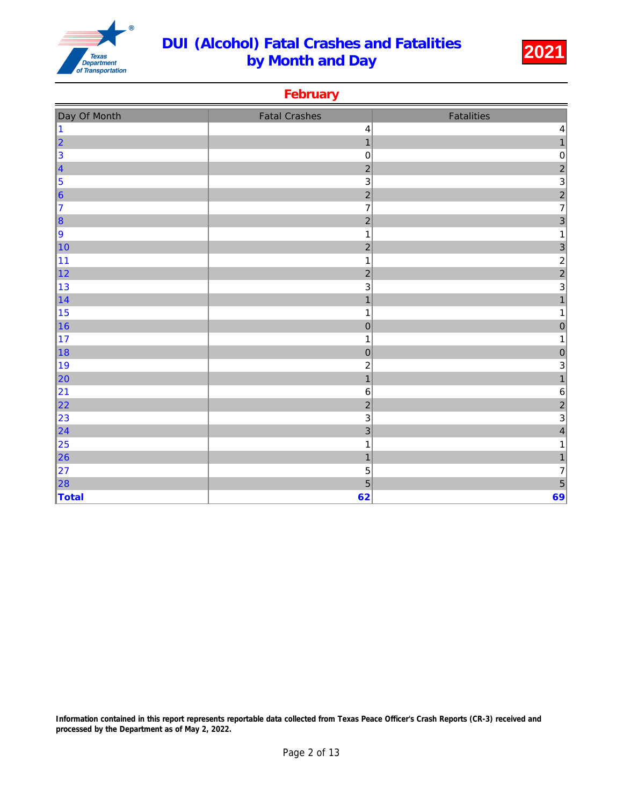

**February** 

| Day Of Month            | <b>Fatal Crashes</b>      | Fatalities              |
|-------------------------|---------------------------|-------------------------|
| $\overline{\mathbf{1}}$ | $\overline{\mathbf{4}}$   | 4                       |
| $\overline{2}$          | $\mathbf{1}$              | $\mathbf{1}$            |
| 3                       | $\mathbf 0$               | $\pmb{0}$               |
| $\overline{\mathbf{4}}$ | $\overline{2}$            | $\overline{c}$          |
| 5                       | $\ensuremath{\mathsf{3}}$ | $\overline{3}$          |
| $6\phantom{a}$          | $\overline{a}$            | $\frac{2}{7}$           |
| $\overline{7}$          | $\overline{7}$            |                         |
| 8                       | $\overline{2}$            | $\overline{3}$          |
| 9                       | $\mathbf 1$               | 1                       |
| 10                      | $\overline{c}$            | 3                       |
| 11                      | $\mathbf 1$               |                         |
| 12                      | $\overline{c}$            | $\frac{2}{2}$           |
| 13                      | $\mathbf{3}$              | 3                       |
| 14                      | $\mathbf{1}$              | $\overline{1}$          |
| 15                      | 1                         | 1                       |
| 16                      | $\mathbf 0$               | $\pmb{0}$               |
| 17                      | $\mathbf 1$               |                         |
| 18                      | $\pmb{0}$                 | $\pmb{0}$               |
| 19                      | $\overline{\mathbf{c}}$   | 3                       |
| 20                      | $\mathbf{1}$              | $\mathbf{1}$            |
| 21                      | $\,6$                     | $\,6\,$                 |
| 22                      | $\overline{2}$            | $\overline{c}$          |
| 23                      | $\ensuremath{\mathsf{3}}$ | 3                       |
| $\overline{24}$         | $\overline{3}$            | $\overline{\mathbf{4}}$ |
| 25                      | $\mathbf{1}$              | 1                       |
| 26                      | $\mathbf{1}$              | 1                       |
| 27                      | 5                         | 7                       |
| 28                      | 5                         | 5                       |
| Total                   | 62                        | 69                      |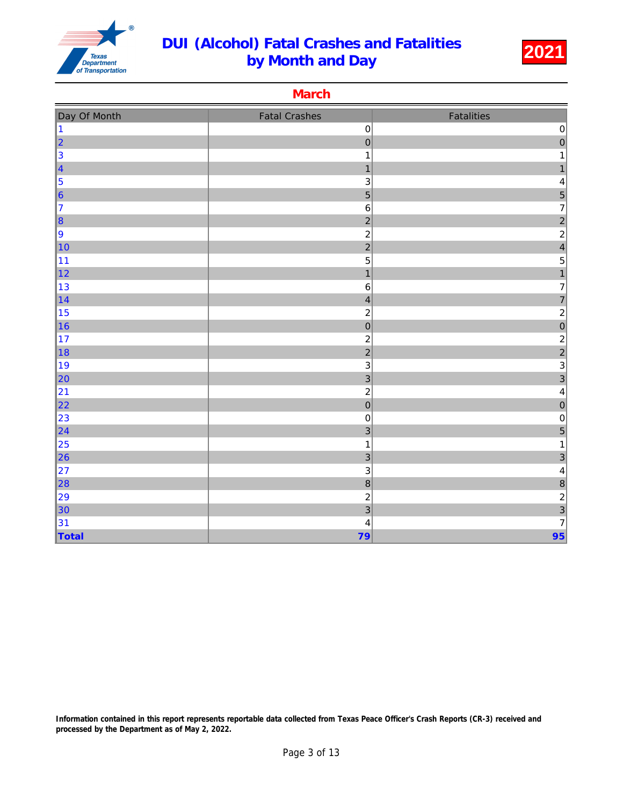

**March** 

| Day Of Month                          | <b>Fatal Crashes</b>     | Fatalities                                 |
|---------------------------------------|--------------------------|--------------------------------------------|
| $\vert$ 1                             | $\mathbf 0$              | $\pmb{0}$                                  |
| $\vert$ 2                             | $\mathbf 0$              | $\overline{0}$                             |
| $\begin{array}{c} 3 \\ 4 \end{array}$ | $\mathbf{1}$             | $\mathbf{1}$                               |
|                                       | $\mathbf{1}$             | $\mathbf{1}$                               |
| $\vert$ 5                             | 3                        | 4                                          |
| $\vert$ 6                             | 5                        | 5                                          |
| 17                                    | $\,$ 6 $\,$              | $\overline{7}$                             |
| $\vert$ 8                             | $\overline{c}$           | $\frac{2}{2}$                              |
| 9                                     | $\boldsymbol{2}$         |                                            |
| 10                                    | $\overline{a}$           | $\overline{\mathbf{4}}$                    |
| 11                                    | 5                        | $\begin{array}{c} 5 \\ 1 \end{array}$      |
| $\vert$ 12                            | $\overline{1}$           |                                            |
| 13                                    | $6\phantom{a}$           | $\overline{7}$                             |
| $\vert$ 14                            | $\overline{\mathcal{L}}$ | $\overline{7}$                             |
| 15                                    | $\overline{c}$           | $\overline{c}$                             |
| 16                                    | $\overline{0}$           | $\overline{0}$                             |
| $\vert$ 17                            | $\overline{c}$           |                                            |
| ∥18                                   | $\overline{c}$           | $\begin{array}{c} 2 \\ 2 \\ 3 \end{array}$ |
| ∥19                                   | 3                        |                                            |
| $\vert$ 20                            | 3                        | 3                                          |
| 21                                    | $\overline{a}$           | $\overline{\mathbf{4}}$                    |
| 22                                    | $\pmb{0}$                | $\overline{0}$                             |
| 23                                    | $\boldsymbol{0}$         | $\pmb{0}$                                  |
| $\vert$ 24                            | 3                        | 5                                          |
| 25                                    | $\mathbf{1}$             | $\mathbf{1}$                               |
| $\vert$ 26                            | 3                        | $\overline{3}$                             |
| 27                                    | 3                        | $\overline{\mathbf{r}}$                    |
| $\ 28$                                | $\overline{8}$           | $\delta$                                   |
| 29                                    | $\overline{c}$           | $\overline{c}$                             |
| $\vert$ 30                            | 3                        | $\overline{3}$                             |
| 31                                    | $\overline{\mathcal{L}}$ | $\overline{7}$                             |
| $\vert$ Total                         | 79                       | 95                                         |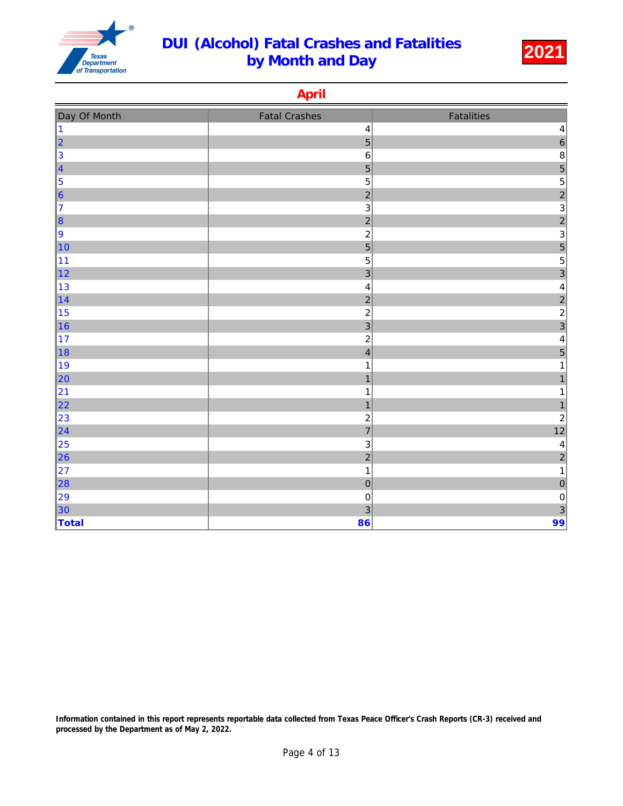

April

|                                                                         | r aprest                  |                                            |
|-------------------------------------------------------------------------|---------------------------|--------------------------------------------|
| Day Of Month                                                            | <b>Fatal Crashes</b>      | Fatalities                                 |
| 11                                                                      | $\overline{\mathcal{L}}$  | 4                                          |
| 2                                                                       | $\overline{5}$            | $\overline{6}$                             |
| 3                                                                       | $\,6\,$                   | $\bf 8$                                    |
| $\vert$ 4                                                               | 5                         | $\frac{5}{5}$                              |
| $\begin{array}{ c } \hline \mathbf{5} \\ \hline \mathbf{6} \end{array}$ | $\overline{5}$            |                                            |
|                                                                         | $\overline{2}$            | $\overline{a}$                             |
| 17                                                                      | $\ensuremath{\mathsf{3}}$ | $\overline{3}$                             |
| $\vert$ 8                                                               | $\overline{2}$            | $\frac{2}{3}$                              |
| 9                                                                       | $\overline{\mathbf{c}}$   |                                            |
| 10                                                                      | $\overline{5}$            | $\overline{5}$                             |
| 11                                                                      | 5                         | $\begin{array}{c} 5 \\ 3 \end{array}$      |
| $\vert$ 12                                                              | $\overline{3}$            |                                            |
| 13                                                                      | $\overline{\mathbf{4}}$   | $\overline{\mathbf{r}}$                    |
| $\vert$ 14                                                              | $\overline{2}$            | $\begin{array}{c} 2 \\ 2 \\ 3 \end{array}$ |
| 15                                                                      | $\mathbf 2$               |                                            |
| $\vert$ 16                                                              | $\overline{3}$            |                                            |
| $\vert$ 17                                                              | $\overline{\mathbf{c}}$   | $\overline{\mathbf{4}}$                    |
| ∥18                                                                     | $\overline{\mathbf{4}}$   | $\overline{5}$                             |
| ∥19                                                                     | 1                         | 1                                          |
| 20                                                                      | $\mathbf{1}$              | $\mathbf{1}$                               |
| 21                                                                      | 1                         | $\mathbf{1}$                               |
| 22                                                                      | $\overline{\mathbf{1}}$   | $\mathbf{1}$                               |
| 23                                                                      | $\boldsymbol{2}$          | $\overline{c}$                             |
| 24                                                                      | $\overline{7}$            | 12                                         |
| 25                                                                      | $\ensuremath{\mathsf{3}}$ | $\overline{a}$                             |
| $\ 26\ $                                                                | $\overline{2}$            | $\overline{c}$                             |
| 27                                                                      | $\mathbf{1}$              | $\mathbf{1}$                               |
| $\ 28\ $                                                                | $\overline{0}$            | $\mathbf 0$                                |
| 29                                                                      | $\mathbf 0$               | $\pmb{0}$                                  |
| $\vert$ 30                                                              | 3                         | $\overline{3}$                             |
| Total                                                                   | 86                        | 99                                         |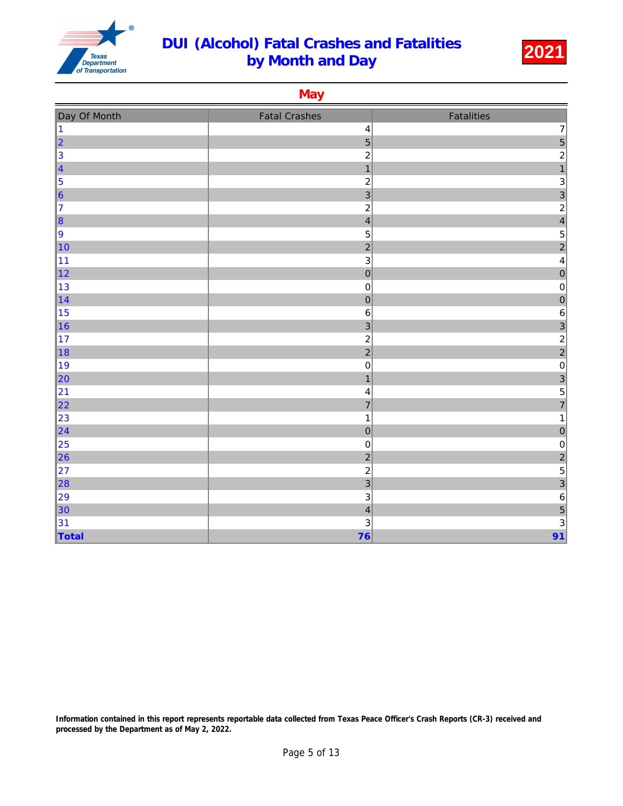

**May** 

| Day Of Month                          | <b>Fatal Crashes</b>      | <b>Fatalities</b>                          |
|---------------------------------------|---------------------------|--------------------------------------------|
| $\vert$ 1                             | 4                         | $\overline{\mathbf{7}}$                    |
| $\vert$ 2                             | $\overline{5}$            |                                            |
| $\begin{array}{c} 3 \\ 4 \end{array}$ | $\overline{c}$            | $\begin{array}{c} 5 \\ 2 \\ 1 \end{array}$ |
|                                       | $\mathbf{1}$              |                                            |
| $\vert$ 5                             | $\overline{\mathbf{c}}$   | 3                                          |
| $\vert_{6}$                           | $\overline{3}$            | $\begin{array}{c} 3 \\ 2 \\ 4 \end{array}$ |
| 17                                    | $\overline{c}$            |                                            |
| $\vert$ 8                             | $\overline{\mathcal{L}}$  |                                            |
| 9                                     | $\mathbf 5$               | 5                                          |
| 10                                    | $\overline{2}$            | $\overline{a}$                             |
| 11                                    | $\ensuremath{\mathsf{3}}$ | $\overline{\mathbf{r}}$                    |
| $\vert$ 12                            | $\mathbf{0}$              | $\overline{0}$                             |
| 13                                    | $\pmb{0}$                 | $\pmb{0}$                                  |
| $\vert$ 14                            | $\overline{0}$            | $\overline{0}$                             |
| 15                                    | $\,6$                     | $\,6\,$                                    |
| 16                                    | $\overline{3}$            | $\overline{3}$                             |
| 17                                    | $\overline{c}$            | $\frac{2}{2}$                              |
| 18                                    | $\overline{c}$            |                                            |
| ∥19                                   | $\pmb{0}$                 | $\pmb{0}$                                  |
| $\vert$ 20                            | $\overline{1}$            | $\frac{3}{5}$                              |
| 21                                    | 4                         |                                            |
| $\vert$ 22                            | $\overline{7}$            | $\overline{7}$                             |
| 23                                    | $\mathbf 1$               | $\mathbf{1}$                               |
| $\vert$ 24                            | $\boldsymbol{0}$          | $\mathbf 0$                                |
| 25                                    | $\pmb{0}$                 | $\pmb{0}$                                  |
| $\ $ 26                               | $\overline{a}$            | $\frac{2}{5}$                              |
| 27                                    | $\overline{c}$            |                                            |
| $\ 28$                                | $\overline{3}$            | 3                                          |
| 29                                    | $\mathsf 3$               | $\overline{6}$                             |
| $\vert$ 30                            | $\overline{\mathbf{4}}$   | 5                                          |
| 31                                    | 3                         | $\overline{3}$                             |
| Total                                 | 76                        | 91                                         |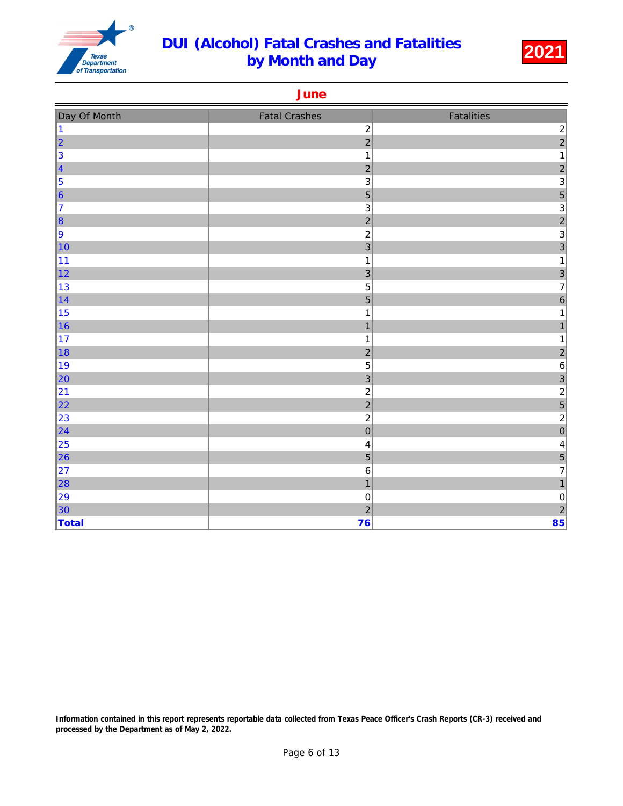

**June** 

| Day Of Month | <b>Fatal Crashes</b>    | Fatalities              |
|--------------|-------------------------|-------------------------|
| 1            | $\overline{c}$          |                         |
| 2            | $\overline{a}$          | $\frac{2}{2}$           |
| $\vert$ 3    | $\mathbf 1$             | $\mathbf{1}$            |
| 4            | $\overline{a}$          | $\frac{2}{3}$           |
| $\vert$ 5    | 3                       |                         |
| $\vert_{6}$  | $\overline{5}$          | $\overline{5}$          |
| 17           | $\mathsf 3$             | 3                       |
| $\vert$ 8    | $\overline{c}$          | $\frac{2}{3}$           |
| 9            | $\overline{c}$          |                         |
| 10           | $\overline{3}$          | 3                       |
| 11           | $\mathbf{1}$            | $\mathbf 1$             |
| $\vert$ 12   | 3                       | $\frac{3}{7}$           |
| ∥13          | 5                       |                         |
| $\vert$ 14   | $\overline{5}$          | $\overline{6}$          |
| 15           | $\mathbf 1$             | $\mathbf 1$             |
| $\vert$ 16   | $\mathbf{1}$            | $\mathbf{1}$            |
| $\vert$ 17   | $\mathbf 1$             | 1                       |
| $\vert$ 18   | $\overline{\mathbf{c}}$ | $\overline{\mathbf{c}}$ |
| ∥19          | 5                       | $\overline{6}$          |
| $\vert$ 20   | 3                       | $\overline{3}$          |
| 21           | $\overline{c}$          | $\overline{\mathbf{c}}$ |
| $\vert$ 22   | $\overline{a}$          | 5                       |
| 23           | $\overline{c}$          | $\overline{c}$          |
| $\vert$ 24   | $\overline{0}$          | $\overline{0}$          |
| 25           | $\overline{\mathbf{4}}$ | $\overline{\mathbf{r}}$ |
| $\ $ 26      | 5                       | $\overline{5}$          |
| 27           | $\,6\,$                 | $\overline{7}$          |
| $\ 28$       | $\overline{1}$          | $\mathbf{1}$            |
| 29           | $\boldsymbol{0}$        | $\pmb{0}$               |
| $\vert$ 30   | $\overline{a}$          | $\overline{\mathbf{c}}$ |
| Total        | 76                      | 85                      |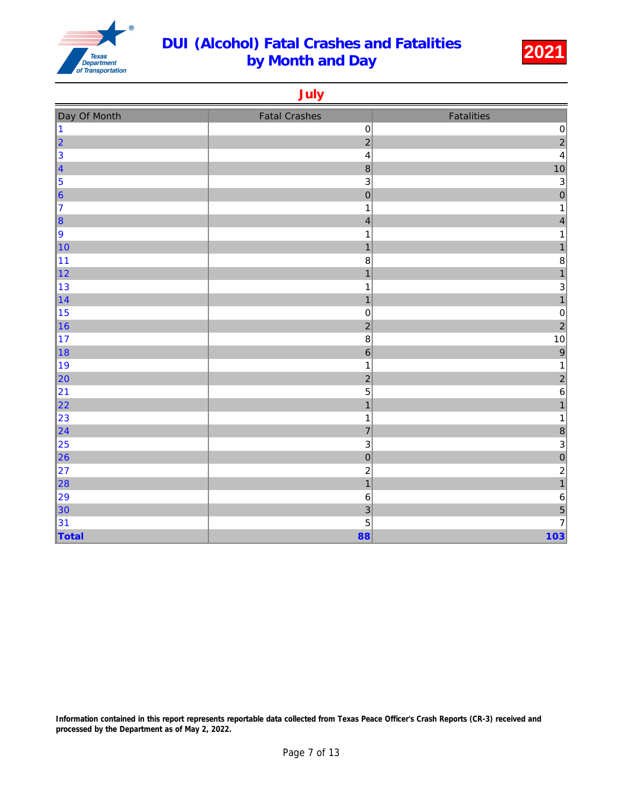

July

| Day Of Month                          | <b>Fatal Crashes</b>      | Fatalities                            |
|---------------------------------------|---------------------------|---------------------------------------|
| $\vert$ 1                             | $\mathbf 0$               | $\pmb{0}$                             |
| $\vert$ <sub>2</sub>                  | $\overline{c}$            | $\overline{a}$                        |
| $\begin{array}{c} 3 \\ 4 \end{array}$ | $\overline{\mathbf{4}}$   | $\overline{\mathbf{4}}$               |
|                                       | $\bf 8$                   | 10                                    |
| 5                                     | $\mathsf 3$               | $\mathbf{3}$                          |
| $\vert_{6}$                           | $\overline{0}$            | $\overline{0}$                        |
| 17                                    | $\mathbf 1$               | 1                                     |
| $\vert$ 8                             | $\overline{\mathcal{L}}$  | $\overline{\mathbf{4}}$               |
| 9                                     | 1                         | 1                                     |
| 10                                    | $\mathbf{1}$              | $\mathbf{1}$                          |
| 11                                    | 8                         | $\bf8$                                |
| $\vert$ 12                            | $\mathbf{1}$              | $\overline{1}$                        |
| 13                                    | 1                         | 3                                     |
| $\vert$ 14                            | $\mathbf{1}$              | $\overline{1}$                        |
| 15                                    | $\boldsymbol{0}$          | $\pmb{0}$                             |
| 16                                    | $\overline{2}$            | $\overline{c}$                        |
| 17                                    | 8                         | 10                                    |
| ∥18                                   | $\boldsymbol{6}$          | $\overline{9}$                        |
| ∥19                                   | $\mathbf{1}$              | $\mathbf{1}$                          |
| $\vert$ 20                            | $\overline{c}$            | $\overline{\mathbf{c}}$               |
| 21                                    | 5                         | $\overline{6}$                        |
| $\vert$ 22                            | $\overline{\mathbf{1}}$   | $\overline{1}$                        |
| 23                                    | $\mathbf 1$               | 1                                     |
| $\vert$ 24                            | $\overline{7}$            | $\delta$                              |
| 25                                    | $\ensuremath{\mathsf{3}}$ | $\mathbf{3}$                          |
| $\ 26\ $                              | $\boldsymbol{0}$          | $\overline{0}$                        |
| 27                                    | $\overline{\mathbf{c}}$   | $\overline{\mathbf{c}}$               |
| $\ 28$                                | $\mathbf{1}$              | $\overline{1}$                        |
| 29                                    | $\,6$                     | $\,$ 6 $\,$                           |
| $\vert$ 30                            | 3                         | $\begin{array}{c} 5 \\ 7 \end{array}$ |
| 31                                    | 5                         |                                       |
| Total                                 | 88                        | 103                                   |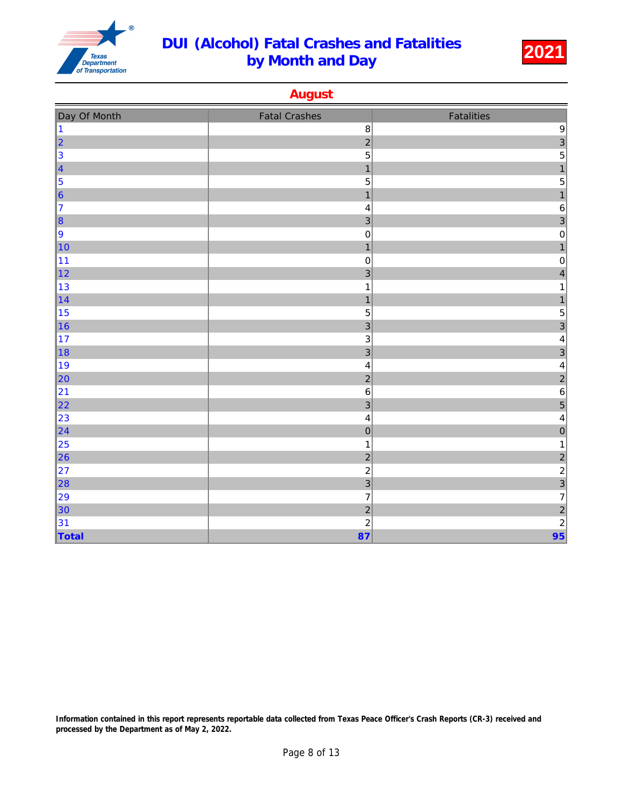

August

| Day Of Month            | <b>Fatal Crashes</b>    | Fatalities                                 |
|-------------------------|-------------------------|--------------------------------------------|
| $\overline{1}$          | $\bf 8$                 | $\boldsymbol{9}$                           |
| $\overline{2}$          | $\overline{a}$          | $\frac{3}{5}$                              |
| 3                       | 5                       |                                            |
| $\overline{\mathbf{4}}$ | $\mathbf{1}$            | $\overline{1}$                             |
| 5                       | 5                       | 5                                          |
| $6\phantom{a}$          | $\mathbf{1}$            | $\mathbf{1}$                               |
| $\overline{7}$          | $\overline{\mathbf{4}}$ | $\,6\,$                                    |
| 8                       | $\overline{3}$          | 3                                          |
| 9                       | $\pmb{0}$               | $\pmb{0}$                                  |
| 10                      | $\overline{1}$          | $\mathbf{1}$                               |
| 11                      | $\mathbf 0$             | $\pmb{0}$                                  |
| 12                      | $\overline{3}$          | $\overline{\mathbf{4}}$                    |
| 13                      | $\mathbf 1$             | 1                                          |
| 14                      | $\mathbf{1}$            | $\mathbf{1}$                               |
| 15                      | $\sqrt{5}$              | 5                                          |
| 16                      | $\overline{3}$          | 3                                          |
| 17                      | $\mathsf 3$             | $\overline{\mathbf{r}}$                    |
| 18                      | $\overline{3}$          | $\overline{3}$                             |
| 19                      | $\overline{\mathbf{4}}$ | 4                                          |
| 20                      | $\overline{c}$          | $\overline{c}$                             |
| 21                      | $\,6$                   | $\boldsymbol{6}$                           |
| 22                      | $\overline{3}$          | 5                                          |
| 23                      | $\overline{\mathbf{4}}$ | $\overline{\mathbf{r}}$                    |
| 24                      | $\overline{0}$          | $\overline{0}$                             |
| 25                      | $\mathbf 1$             | $\mathbf 1$                                |
| 26                      | $\overline{c}$          | $\begin{array}{c} 2 \\ 2 \\ 3 \end{array}$ |
| 27                      | $\overline{\mathbf{c}}$ |                                            |
| 28                      | $\overline{3}$          |                                            |
| 29                      | $\overline{7}$          | $\overline{7}$                             |
| 30                      | $\overline{c}$          | $\overline{c}$                             |
| 31                      | $\overline{c}$          | $\overline{a}$                             |
| Total                   | 87                      | 95                                         |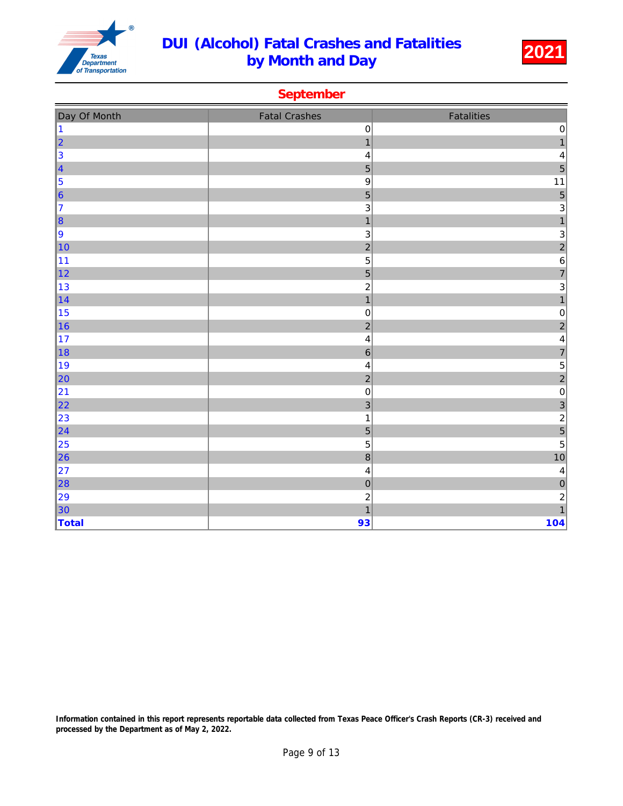

### September

| Day Of Month                                        | <b>Fatal Crashes</b>      | Fatalities                                              |
|-----------------------------------------------------|---------------------------|---------------------------------------------------------|
| $\vert$ 1                                           | $\pmb{0}$                 |                                                         |
|                                                     | $\mathbf{1}$              | $\begin{array}{c}\n0 \\ 1\n\end{array}$                 |
| $\begin{array}{ c c }\n\hline\n2 \\ 3\n\end{array}$ | $\overline{\mathbf{4}}$   |                                                         |
| $\vert$ 4                                           | 5                         | $\frac{4}{5}$                                           |
| 5                                                   | $\boldsymbol{9}$          | $11$                                                    |
| $\vert_{6}$                                         | 5                         | $\begin{array}{c c} 5 \\ 3 \\ 1 \end{array}$            |
| 17                                                  | 3                         |                                                         |
| $\vert$ 8                                           | $\overline{1}$            |                                                         |
| 9                                                   | $\ensuremath{\mathsf{3}}$ |                                                         |
| $\vert$ 10                                          | $\overline{a}$            | $\frac{3}{2}$ $\frac{2}{6}$ $\frac{2}{7}$ $\frac{3}{1}$ |
| 11                                                  | $\overline{5}$            |                                                         |
| $\vert$ 12                                          | 5                         |                                                         |
| 13                                                  | $\overline{c}$            |                                                         |
| 14                                                  | $\mathbf{1}$              |                                                         |
| 15                                                  | $\pmb{0}$                 | $\mathbf 0$                                             |
| $\vert$ 16                                          | $\overline{c}$            |                                                         |
| 17                                                  | $\overline{\mathbf{4}}$   | 2<br>4<br>7<br>5<br>2<br>0<br>3<br>2<br>5<br>5          |
| $\vert$ 18                                          | $\,$ 6 $\,$               |                                                         |
| ∥19                                                 | $\overline{\mathbf{4}}$   |                                                         |
| 20                                                  | $\overline{c}$            |                                                         |
| 21                                                  | $\mathbf 0$               |                                                         |
| 22                                                  | $\overline{3}$            |                                                         |
| 23                                                  | $\mathbf{1}$              |                                                         |
| 24                                                  | 5                         |                                                         |
| $\vert$ 25                                          | 5                         |                                                         |
| 26                                                  | 8                         | 10                                                      |
| 27                                                  | $\overline{\mathbf{4}}$   | $\overline{\mathbf{4}}$                                 |
| 28                                                  | $\mathbf 0$               |                                                         |
| 29                                                  | $\overline{c}$            | $\begin{array}{c}\n0 \\ 2 \\ 1\n\end{array}$            |
| $\vert$ 30                                          | $\overline{1}$            |                                                         |
| Total                                               | 93                        | 104                                                     |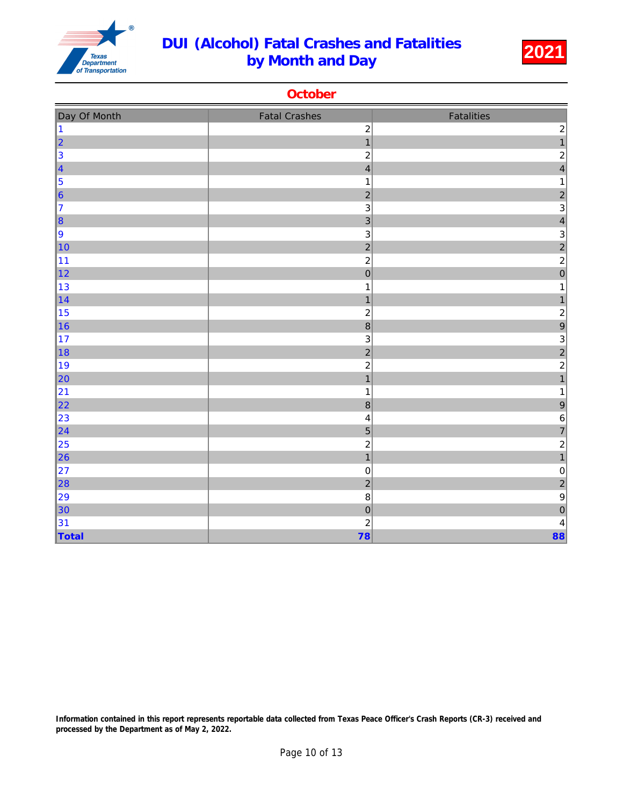

**October** 

| Day Of Month                                   | <b>Fatal Crashes</b>                      | Fatalities                                         |
|------------------------------------------------|-------------------------------------------|----------------------------------------------------|
| $\vert$ 1                                      | $\boldsymbol{2}$<br>$\overline{1}$        | $\overline{c}$<br>$\overline{1}$                   |
|                                                |                                           |                                                    |
| $\begin{array}{c c}\n2 \\ 3 \\ 4\n\end{array}$ | $\overline{c}$<br>$\overline{\mathbf{4}}$ | $\overline{\mathbf{c}}$<br>$\overline{\mathbf{4}}$ |
| $\vert$ 5                                      | $\mathbf 1$                               | 1                                                  |
| $\vert$ 6                                      | $\overline{c}$                            |                                                    |
| 17                                             | 3                                         | $\frac{2}{3}$                                      |
| $\vert$ 8                                      | $\overline{3}$                            | $\overline{\mathbf{r}}$                            |
| 9                                              | $\ensuremath{\mathsf{3}}$                 |                                                    |
| 10                                             | $\overline{a}$                            |                                                    |
| 11                                             | $\overline{a}$                            | $\begin{array}{c} 3 \\ 2 \\ 2 \\ 0 \end{array}$    |
| $\vert$ 12                                     | $\overline{0}$                            |                                                    |
| 13                                             | $\mathbf{1}$                              | 1                                                  |
| $\vert$ 14                                     | $\mathbf{1}$                              | $\mathbf{1}$                                       |
| 15                                             | $\boldsymbol{2}$                          | $\overline{\mathbf{c}}$                            |
| $\vert$ 16                                     | $\overline{8}$                            | 9                                                  |
| 17                                             | $\mathsf 3$                               | $\mathbf{3}$                                       |
| ∥18                                            | $\overline{c}$                            |                                                    |
| ∥19                                            | $\overline{\mathbf{c}}$                   | $\frac{2}{2}$                                      |
| $\vert$ 20                                     | $\overline{\mathbf{1}}$                   | $\overline{1}$                                     |
| 21                                             | $\mathbf{1}$                              | 1                                                  |
| $\vert$ 22                                     | $\bf{8}$                                  | 9                                                  |
| 23                                             | $\overline{\mathbf{4}}$                   | 6                                                  |
| $\vert$ 24                                     | $\overline{5}$                            | $\overline{7}$                                     |
| $\vert$ 25                                     | $\overline{\mathbf{c}}$                   | $\overline{c}$                                     |
| $\vert$ 26                                     | $\overline{1}$                            | $\overline{1}$                                     |
| 27                                             | $\pmb{0}$                                 | $\pmb{0}$                                          |
| $\vert$ 28                                     | $\overline{2}$                            | $\overline{c}$                                     |
| 29                                             | $\bf8$                                    | $\overline{9}$                                     |
| $\vert$ 30                                     | $\overline{0}$                            | $\overline{0}$                                     |
| 31                                             | $\overline{c}$                            | $\overline{\mathbf{r}}$                            |
| $\vert$ Total                                  | 78                                        | 88                                                 |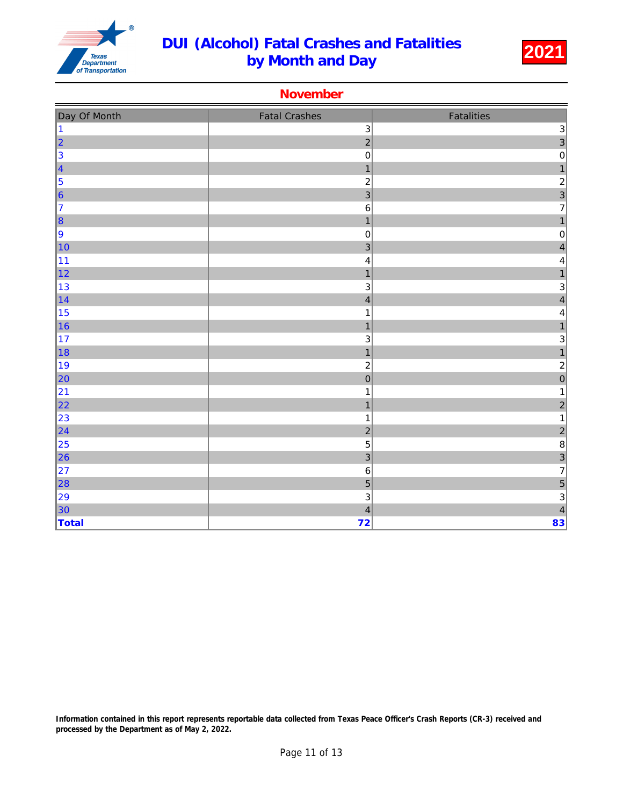

#### November

| Day Of Month                                | <b>Fatal Crashes</b>    | Fatalities                                        |
|---------------------------------------------|-------------------------|---------------------------------------------------|
| $\vert$ 1                                   | $\mathbf{3}$            |                                                   |
| $\begin{array}{ c c }\n2 \\ 3\n\end{array}$ | $\overline{a}$          | $\begin{array}{c}\n3 \\ 3 \\ 0\n\end{array}$      |
|                                             | $\mathbf 0$             |                                                   |
| $\vert_4$                                   | $\mathbf{1}$            | $\mathbf{1}$                                      |
| 5                                           | $\overline{c}$          |                                                   |
| $\vert_{6}$                                 | $\overline{3}$          | $\begin{array}{c} 2 \\ 3 \\ 7 \end{array}$        |
| 17                                          | $\,6\,$                 |                                                   |
| $\ 8\ $                                     | $\overline{1}$          | $\overline{1}$                                    |
| 9                                           | $\mathbf 0$             | $\mathbf 0$                                       |
| $\vert$ 10                                  | $\overline{3}$          | $\overline{\mathbf{r}}$                           |
| 11                                          | $\overline{\mathbf{4}}$ | $\overline{\mathbf{4}}$                           |
| $\vert$ 12                                  | $\mathbf{1}$            | $\overline{1}$                                    |
| $\vert$ 13                                  | $\mathbf{3}$            | $\begin{array}{c}\n3 \\ 4\n\end{array}$           |
| 14                                          | $\overline{\mathbf{4}}$ |                                                   |
| 15                                          | $\mathbf 1$             | $\overline{\mathbf{r}}$                           |
| $\vert$ 16                                  | $\overline{\mathbf{1}}$ | $\overline{1}$                                    |
| 17                                          | 3                       | $\begin{array}{c}\n3 \\ 1 \\ 2 \\ 0\n\end{array}$ |
| $\vert$ 18                                  | $\overline{1}$          |                                                   |
| 19                                          | $\overline{c}$          |                                                   |
| 20                                          | $\overline{0}$          |                                                   |
| 21                                          | $\mathbf 1$             | $\mathbf{1}$                                      |
| 22                                          | $\mathbf{1}$            | $\overline{\mathbf{c}}$                           |
| 23                                          | $\mathbf{1}$            | $\mathbf{1}$                                      |
| 24                                          | $\overline{c}$          | $\begin{array}{c} 2 \\ 8 \\ 3 \\ 7 \end{array}$   |
| 25                                          | 5                       |                                                   |
| 26                                          | $\overline{3}$          |                                                   |
| 27                                          | $\,6\,$                 |                                                   |
| 28                                          | $\overline{5}$          |                                                   |
| 29                                          | $\mathbf{3}$            | $\begin{array}{c} 5 \\ 3 \\ 4 \end{array}$        |
| $\vert$ 30                                  | $\overline{\mathbf{4}}$ |                                                   |
| Total                                       | 72                      | 83                                                |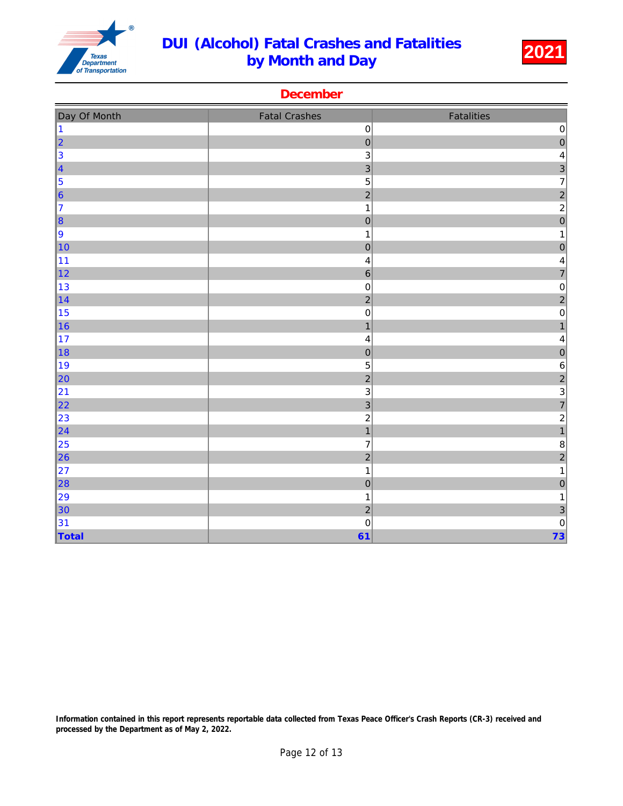

| December |  |
|----------|--|

| Day Of Month                                                        | <b>Fatal Crashes</b>    | Fatalities              |
|---------------------------------------------------------------------|-------------------------|-------------------------|
| $\vert$ 1                                                           | $\mathbf 0$             | $\pmb{0}$               |
| $\begin{array}{ c c }\n2 \\ 3\n\end{array}$                         | $\mathbf 0$             | $\overline{0}$          |
|                                                                     | $\mathsf 3$             | $\overline{\mathbf{r}}$ |
| $\begin{array}{ c c }\n\hline\n4 & 5 \\ \hline\n6 & 6\n\end{array}$ | 3                       | $\frac{3}{7}$           |
|                                                                     | 5                       |                         |
|                                                                     | $\overline{2}$          | $\overline{a}$          |
| 17                                                                  | $\mathbf{1}$            | $\overline{2}$          |
| $\vert$ 8                                                           | $\overline{0}$          | $\overline{0}$          |
| 9                                                                   | $\mathbf{1}$            | $\mathbf 1$             |
| 10                                                                  | $\mathbf 0$             | $\mathbf 0$             |
| 11                                                                  | $\overline{\mathbf{r}}$ | 4                       |
| $\vert$ 12                                                          | $\overline{6}$          | $\overline{7}$          |
| 13                                                                  | $\mathbf 0$             | $\pmb{0}$               |
| $\vert$ 14                                                          | $\overline{a}$          | $\overline{\mathbf{c}}$ |
| 15                                                                  | $\pmb{0}$               | $\pmb{0}$               |
| $\vert$ 16                                                          | $\overline{\mathbf{1}}$ | $\mathbf{1}$            |
| 17                                                                  | $\overline{\mathbf{4}}$ | $\overline{\mathbf{4}}$ |
| 18                                                                  | $\mathbf 0$             | $\overline{0}$          |
| ∥19                                                                 | 5                       | 6                       |
| $\vert$ 20                                                          | $\overline{a}$          | $\overline{c}$          |
| 21                                                                  | 3                       | $\frac{3}{7}$           |
| $\vert$ 22                                                          | 3                       |                         |
| 23                                                                  | $\overline{c}$          | $\frac{2}{1}$           |
| $\vert$ 24                                                          | $\overline{1}$          |                         |
| $\vert$ 25                                                          | $\overline{7}$          | $\bf 8$                 |
| $\ $ 26                                                             | $\overline{2}$          | $\overline{a}$          |
| 27                                                                  | $\mathbf{1}$            | $\mathbf{1}$            |
| 28                                                                  | $\overline{0}$          | $\overline{0}$          |
| 29                                                                  | $\mathbf{1}$            | $\mathbf{1}$            |
| $\vert$ 30                                                          | $\overline{c}$          | $\overline{3}$          |
| 31                                                                  | $\mathbf 0$             | $\pmb{0}$               |
| Total                                                               | 61                      | 73                      |